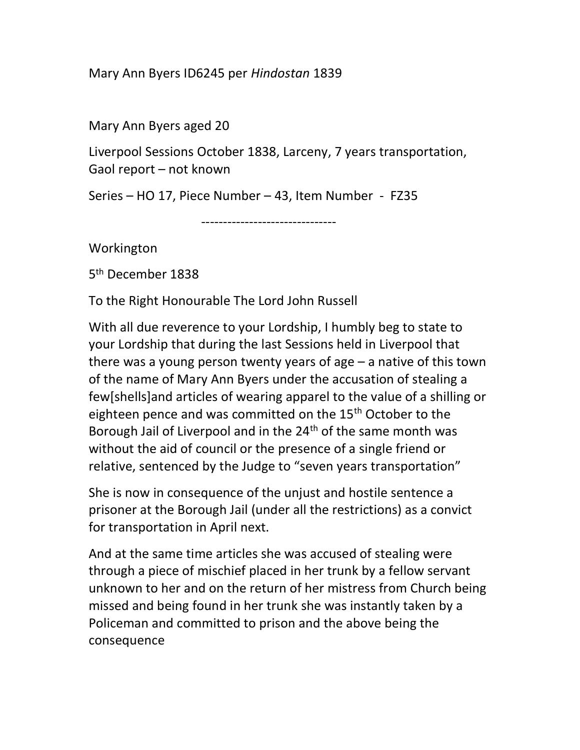Mary Ann Byers ID6245 per Hindostan 1839

Mary Ann Byers aged 20

Liverpool Sessions October 1838, Larceny, 7 years transportation, Gaol report – not known

Series – HO 17, Piece Number – 43, Item Number - FZ35

-------------------------------

Workington

5 th December 1838

To the Right Honourable The Lord John Russell

With all due reverence to your Lordship, I humbly beg to state to your Lordship that during the last Sessions held in Liverpool that there was a young person twenty years of age – a native of this town of the name of Mary Ann Byers under the accusation of stealing a few[shells]and articles of wearing apparel to the value of a shilling or eighteen pence and was committed on the 15<sup>th</sup> October to the Borough Jail of Liverpool and in the 24<sup>th</sup> of the same month was without the aid of council or the presence of a single friend or relative, sentenced by the Judge to "seven years transportation"

She is now in consequence of the unjust and hostile sentence a prisoner at the Borough Jail (under all the restrictions) as a convict for transportation in April next.

And at the same time articles she was accused of stealing were through a piece of mischief placed in her trunk by a fellow servant unknown to her and on the return of her mistress from Church being missed and being found in her trunk she was instantly taken by a Policeman and committed to prison and the above being the consequence